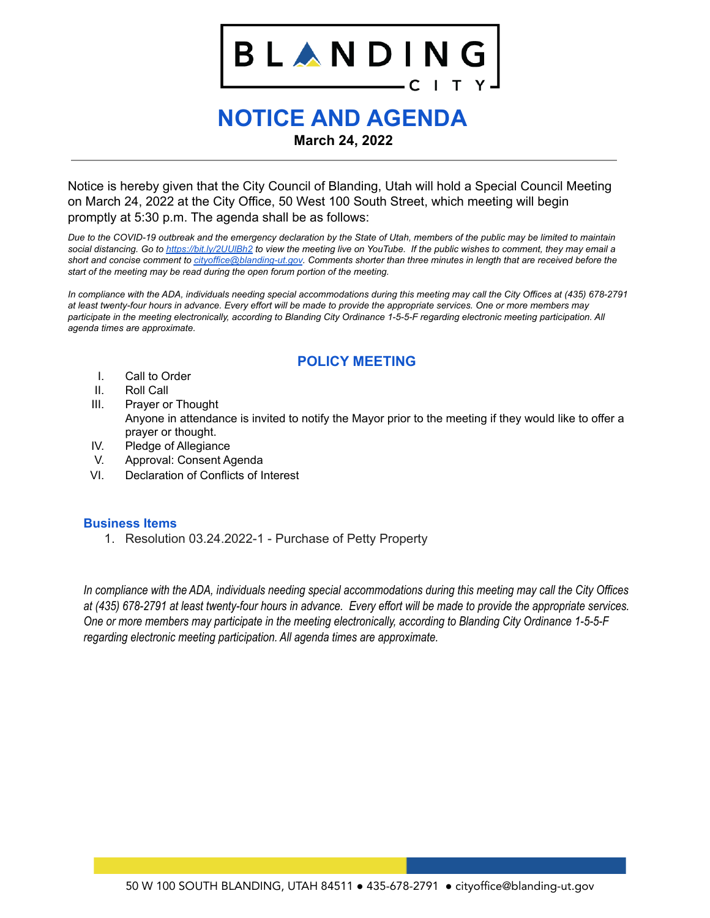# LANDINO B I

## **NOTICE AND AGENDA March 24, 2022**

Notice is hereby given that the City Council of Blanding, Utah will hold a Special Council Meeting on March 24, 2022 at the City Office, 50 West 100 South Street, which meeting will begin promptly at 5:30 p.m. The agenda shall be as follows:

Due to the COVID-19 outbreak and the emergency declaration by the State of Utah, members of the public may be limited to maintain social distancing. Go to https://bit.ly/2UUIBh2 to view the meeting live on YouTube. If the public wishes to comment, they may email a short and concise comment to [cityoffice@blanding-ut.gov](mailto:cityoffice@blanding-ut.gov). Comments shorter than three minutes in length that are received before the *start of the meeting may be read during the open forum portion of the meeting.*

In compliance with the ADA, individuals needing special accommodations during this meeting may call the City Offices at (435) 678-2791 at least twenty-four hours in advance. Every effort will be made to provide the appropriate services. One or more members may participate in the meeting electronically, according to Blanding City Ordinance 1-5-5-F regarding electronic meeting participation. All *agenda times are approximate.*

#### **POLICY MEETING**

- I. Call to Order
- II. Roll Call
- III. Prayer or Thought Anyone in attendance is invited to notify the Mayor prior to the meeting if they would like to offer a prayer or thought.
- IV. Pledge of Allegiance
- V. Approval: Consent Agenda
- VI. Declaration of Conflicts of Interest

#### **Business Items**

1. Resolution 03.24.2022-1 - Purchase of Petty Property

In compliance with the ADA, individuals needing special accommodations during this meeting may call the City Offices at (435) 678-2791 at least twenty-four hours in advance. Every effort will be made to provide the appropriate services. *One or more members may participate in the meeting electronically, according to Blanding City Ordinance 1-5-5-F regarding electronic meeting participation. All agenda times are approximate.*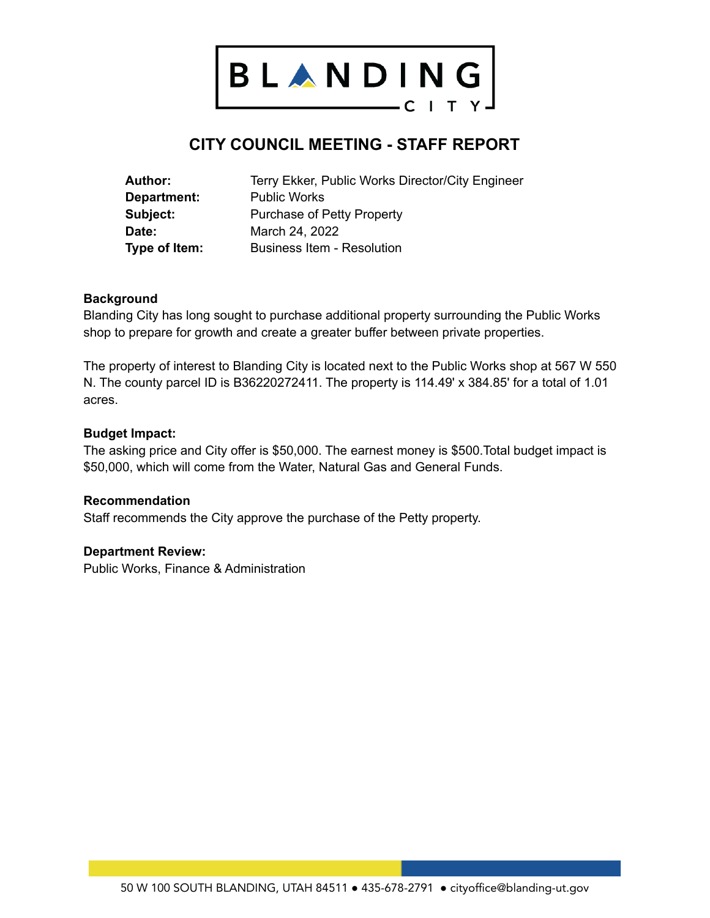

### **CITY COUNCIL MEETING - STAFF REPORT**

| Author:            | Terry Ekker, Public Works Director/City Engineer |
|--------------------|--------------------------------------------------|
| <b>Department:</b> | <b>Public Works</b>                              |
| Subject:           | Purchase of Petty Property                       |
| Date:              | March 24, 2022                                   |
| Type of Item:      | <b>Business Item - Resolution</b>                |

#### **Background**

Blanding City has long sought to purchase additional property surrounding the Public Works shop to prepare for growth and create a greater buffer between private properties.

The property of interest to Blanding City is located next to the Public Works shop at 567 W 550 N. The county parcel ID is B36220272411. The property is 114.49' x 384.85' for a total of 1.01 acres.

#### **Budget Impact:**

The asking price and City offer is \$50,000. The earnest money is \$500.Total budget impact is \$50,000, which will come from the Water, Natural Gas and General Funds.

#### **Recommendation**

Staff recommends the City approve the purchase of the Petty property.

#### **Department Review:**

Public Works, Finance & Administration